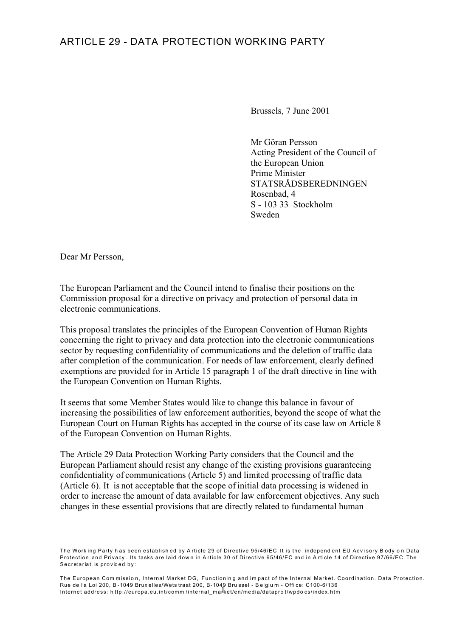## ARTICLE 29 - DATA PROTECTION WORKING PARTY

Brussels, 7 June 2001

Mr Göran Persson Acting President of the Council of the European Union Prime Minister STATSRÅDSBEREDNINGEN Rosenbad, 4 S - 103 33 Stockholm Sweden

Dear Mr Persson,

The European Parliament and the Council intend to finalise their positions on the Commission proposal for a directive on privacy and protection of personal data in electronic communications.

This proposal translates the principles of the European Convention of Human Rights concerning the right to privacy and data protection into the electronic communications sector by requesting confidentiality of communications and the deletion of traffic data after completion of the communication. For needs of law enforcement, clearly defined exemptions are provided for in Article 15 paragraph 1 of the draft directive in line with the European Convention on Human Rights.

It seems that some Member States would like to change this balance in favour of increasing the possibilities of law enforcement authorities, beyond the scope of what the European Court on Human Rights has accepted in the course of its case law on Article 8 of the European Convention on Human Rights.

The Article 29 Data Protection Working Party considers that the Council and the European Parliament should resist any change of the existing provisions guaranteeing confidentiality of communications (Article 5) and limited processing of traffic data (Article 6). It is not acceptable that the scope of initial data processing is widened in order to increase the amount of data available for law enforcement objectives. Any such changes in these essential provisions that are directly related to fundamental human

The European Com missio n, Internal Market DG, Functionin g and im pact of the Internal Market. Coordination. Data Protection. Rue de la Loi 200, B-1049 Brux elles/Wets traat 200, B-1049 Bru ssel - B elgiu m - Office: C100-6/136 Internet address: http://europa.eu.int/comm/internal\_market/en/media/datapro t/wpdo cs/index.htm

The Work ing Party h as been establish ed by A rticle 29 of Directive 95/46/EC. It is the independ ent EU Adv isory B ody o n Data Protection and Privacy . Its tasks are laid dow n in A rticle 30 of Directive 95/46/EC and in A rticle 14 of Directive 97/66/EC. The Secretariat is provided by: